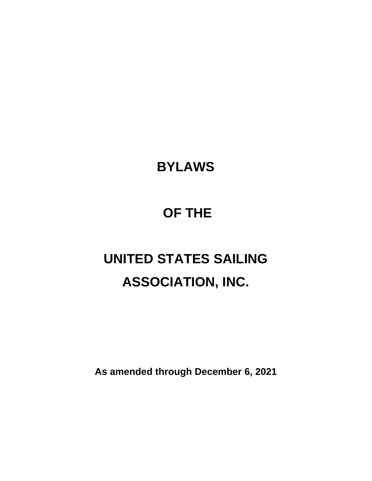# **BYLAWS**

## **OF THE**

# **UNITED STATES SAILING ASSOCIATION, INC.**

**As amended through December 6, 2021**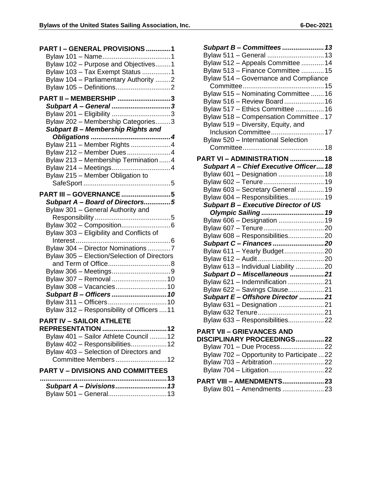| PART I - GENERAL PROVISIONS 1                                                                                   |
|-----------------------------------------------------------------------------------------------------------------|
| Bylaw 102 - Purpose and Objectives1<br>Bylaw 103 - Tax Exempt Status 1<br>Bylaw 104 - Parliamentary Authority 2 |
| PART II - MEMBERSHIP 3                                                                                          |
| Subpart A - General 3                                                                                           |
| Bylaw 201 - Eligibility 3                                                                                       |
| Bylaw 202 - Membership Categories3                                                                              |
| Subpart B- Membership Rights and                                                                                |
| Bylaw 211 - Member Rights 4                                                                                     |
| Bylaw 212 - Member Dues4                                                                                        |
| Bylaw 213 - Membership Termination 4                                                                            |
|                                                                                                                 |
| Bylaw 215 - Member Obligation to                                                                                |
|                                                                                                                 |
| <b>PART III - GOVERNANCE 5</b>                                                                                  |
| Subpart A - Board of Directors5                                                                                 |
| Bylaw 301 - General Authority and                                                                               |
|                                                                                                                 |
|                                                                                                                 |
| Bylaw 303 - Eligibility and Conflicts of                                                                        |
|                                                                                                                 |
| Bylaw 304 - Director Nominations 7                                                                              |
| Bylaw 305 - Election/Selection of Directors                                                                     |
|                                                                                                                 |
|                                                                                                                 |
| Bylaw 307 - Removal  10<br>Bylaw 308 - Vacancies 10                                                             |
| Subpart B- Officers  10                                                                                         |
|                                                                                                                 |
| Bylaw 312 - Responsibility of Officers  11                                                                      |
|                                                                                                                 |
| PART IV – SAILOR ATHLETE<br>REPRESENTATION 12                                                                   |
| Bylaw 401 - Sailor Athlete Council  12                                                                          |
| Bylaw 402 - Responsibilities12                                                                                  |
| Bylaw 403 - Selection of Directors and                                                                          |
| Committee Members  12                                                                                           |
| <b>PART V - DIVISIONS AND COMMITTEES</b>                                                                        |
|                                                                                                                 |
| Subpart A - Divisions 13                                                                                        |
| Bylaw 501 - General13                                                                                           |
|                                                                                                                 |

| Subpart B- Committees  13                                              |  |
|------------------------------------------------------------------------|--|
| Bylaw 511 - General  13                                                |  |
| Bylaw 512 - Appeals Committee  14                                      |  |
| Bylaw 513 - Finance Committee 15                                       |  |
| Bylaw 514 - Governance and Compliance                                  |  |
|                                                                        |  |
| Bylaw 515 - Nominating Committee  16                                   |  |
| Bylaw 516 - Review Board16                                             |  |
| Bylaw 517 - Ethics Committee  16                                       |  |
| Bylaw 518 - Compensation Committee 17                                  |  |
| Bylaw 519 - Diversity, Equity, and                                     |  |
| Inclusion Committee 17                                                 |  |
| Bylaw 520 - International Selection                                    |  |
|                                                                        |  |
| <b>PART VI - ADMINISTRATION 18</b>                                     |  |
| Subpart A - Chief Executive Officer 18                                 |  |
| Bylaw 601 - Designation  18                                            |  |
| Bylaw 602 - Tenure 19                                                  |  |
| Bylaw 603 - Secretary General 19                                       |  |
| Bylaw 604 - Responsibilities19                                         |  |
| <b>Subpart B- Executive Director of US</b>                             |  |
|                                                                        |  |
| Bylaw 606 - Designation  19                                            |  |
|                                                                        |  |
| Bylaw 608 - Responsibilities20                                         |  |
| Subpart C - Finances 20                                                |  |
| Bylaw 611 - Yearly Budget20                                            |  |
|                                                                        |  |
| Bylaw 613 - Individual Liability 20                                    |  |
| Subpart D-Miscellaneous 21                                             |  |
| Bylaw 621 - Indemnification 21                                         |  |
| Bylaw 622 - Savings Clause21                                           |  |
| Subpart E- Offshore Director 21                                        |  |
| Bylaw 631 - Designation 21                                             |  |
|                                                                        |  |
| Bylaw 633 - Responsibilities22                                         |  |
| <b>PART VII - GRIEVANCES AND</b>                                       |  |
| DISCIPLINARY PROCEEDINGS22                                             |  |
|                                                                        |  |
| Bylaw 701 - Due Process22                                              |  |
|                                                                        |  |
| Bylaw 702 - Opportunity to Participate 22<br>Bylaw 703 - Arbitration22 |  |

### **PART VIII – [AMENDMENTS......................23](#page-24-0)**

| Bylaw 801 - Amendments 23 |  |
|---------------------------|--|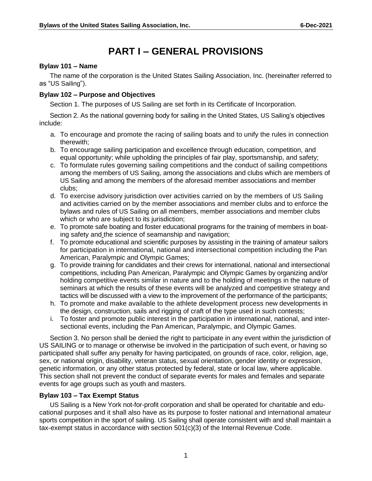### **PART I – GENERAL PROVISIONS**

#### <span id="page-2-1"></span><span id="page-2-0"></span>**Bylaw 101 – Name**

The name of the corporation is the United States Sailing Association, Inc. (hereinafter referred to as "US Sailing").

#### <span id="page-2-2"></span>**Bylaw 102 – Purpose and Objectives**

Section 1. The purposes of US Sailing are set forth in its Certificate of Incorporation.

Section 2. As the national governing body for sailing in the United States, US Sailing's objectives include:

- a. To encourage and promote the racing of sailing boats and to unify the rules in connection therewith;
- b. To encourage sailing participation and excellence through education, competition, and equal opportunity; while upholding the principles of fair play, sportsmanship, and safety;
- c. To formulate rules governing sailing competitions and the conduct of sailing competitions among the members of US Sailing, among the associations and clubs which are members of US Sailing and among the members of the aforesaid member associations and member clubs;
- d. To exercise advisory jurisdiction over activities carried on by the members of US Sailing and activities carried on by the member associations and member clubs and to enforce the bylaws and rules of US Sailing on all members, member associations and member clubs which or who are subject to its jurisdiction;
- e. To promote safe boating and foster educational programs for the training of members in boating safety and the science of seamanship and navigation;
- f. To promote educational and scientific purposes by assisting in the training of amateur sailors for participation in international, national and intersectional competition including the Pan American, Paralympic and Olympic Games;
- g. To provide training for candidates and their crews for international, national and intersectional competitions, including Pan American, Paralympic and Olympic Games by organizing and/or holding competitive events similar in nature and to the holding of meetings in the nature of seminars at which the results of these events will be analyzed and competitive strategy and tactics will be discussed with a view to the improvement of the performance of the participants;
- h. To promote and make available to the athlete development process new developments in the design, construction, sails and rigging of craft of the type used in such contests;
- i. To foster and promote public interest in the participation in international, national, and intersectional events, including the Pan American, Paralympic, and Olympic Games.

Section 3. No person shall be denied the right to participate in any event within the jurisdiction of US SAILING or to manage or otherwise be involved in the participation of such event, or having so participated shall suffer any penalty for having participated, on grounds of race, color, religion, age, sex, or national origin, disability, veteran status, sexual orientation, gender identity or expression, genetic information, or any other status protected by federal, state or local law, where applicable. This section shall not prevent the conduct of separate events for males and females and separate events for age groups such as youth and masters.

#### <span id="page-2-3"></span>**Bylaw 103 – Tax Exempt Status**

US Sailing is a New York not-for-profit corporation and shall be operated for charitable and educational purposes and it shall also have as its purpose to foster national and international amateur sports competition in the sport of sailing. US Sailing shall operate consistent with and shall maintain a tax-exempt status in accordance with section 501(c)(3) of the Internal Revenue Code.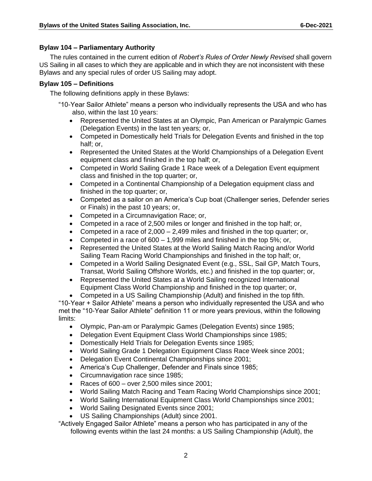#### <span id="page-3-0"></span>**Bylaw 104 – Parliamentary Authority**

The rules contained in the current edition of *Robert's Rules of Order Newly Revised* shall govern US Sailing in all cases to which they are applicable and in which they are not inconsistent with these Bylaws and any special rules of order US Sailing may adopt.

#### <span id="page-3-1"></span>**Bylaw 105 – Definitions**

The following definitions apply in these Bylaws:

- "10-Year Sailor Athlete" means a person who individually represents the USA and who has also, within the last 10 years:
	- Represented the United States at an Olympic, Pan American or Paralympic Games (Delegation Events) in the last ten years; or,
	- Competed in Domestically held Trials for Delegation Events and finished in the top half; or,
	- Represented the United States at the World Championships of a Delegation Event equipment class and finished in the top half; or,
	- Competed in World Sailing Grade 1 Race week of a Delegation Event equipment class and finished in the top quarter; or,
	- Competed in a Continental Championship of a Delegation equipment class and finished in the top quarter; or,
	- Competed as a sailor on an America's Cup boat (Challenger series, Defender series or Finals) in the past 10 years; or,
	- Competed in a Circumnavigation Race; or,
	- Competed in a race of 2,500 miles or longer and finished in the top half; or,
	- Competed in a race of  $2,000 2,499$  miles and finished in the top quarter; or,
	- Competed in a race of 600 1,999 miles and finished in the top 5%; or,
	- Represented the United States at the World Sailing Match Racing and/or World Sailing Team Racing World Championships and finished in the top half; or,
	- Competed in a World Sailing Designated Event (e.g., SSL, Sail GP, Match Tours, Transat, World Sailing Offshore Worlds, etc.) and finished in the top quarter; or,
	- Represented the United States at a World Sailing recognized International Equipment Class World Championship and finished in the top quarter; or,
	- Competed in a US Sailing Championship (Adult) and finished in the top fifth.

"10-Year + Sailor Athlete" means a person who individually represented the USA and who met the "10-Year Sailor Athlete" definition 11 or more years previous, within the following limits:

- Olympic, Pan-am or Paralympic Games (Delegation Events) since 1985;
- Delegation Event Equipment Class World Championships since 1985;
- Domestically Held Trials for Delegation Events since 1985;
- World Sailing Grade 1 Delegation Equipment Class Race Week since 2001;
- Delegation Event Continental Championships since 2001;
- America's Cup Challenger, Defender and Finals since 1985;
- Circumnavigation race since 1985:
- Races of 600 over 2,500 miles since 2001;
- World Sailing Match Racing and Team Racing World Championships since 2001;
- World Sailing International Equipment Class World Championships since 2001;
- World Sailing Designated Events since 2001;
- US Sailing Championships (Adult) since 2001.

"Actively Engaged Sailor Athlete" means a person who has participated in any of the following events within the last 24 months: a US Sailing Championship (Adult), the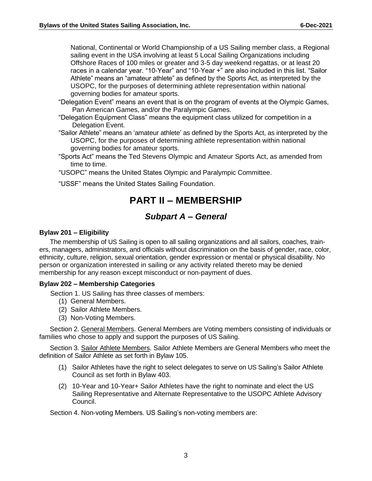National, Continental or World Championship of a US Sailing member class, a Regional sailing event in the USA involving at least 5 Local Sailing Organizations including Offshore Races of 100 miles or greater and 3-5 day weekend regattas, or at least 20 races in a calendar year. "10-Year" and "10-Year +" are also included in this list. "Sailor Athlete" means an "amateur athlete" as defined by the Sports Act, as interpreted by the USOPC, for the purposes of determining athlete representation within national governing bodies for amateur sports.

- "Delegation Event" means an event that is on the program of events at the Olympic Games, Pan American Games, and/or the Paralympic Games.
- "Delegation Equipment Class" means the equipment class utilized for competition in a Delegation Event.
- "Sailor Athlete" means an 'amateur athlete' as defined by the Sports Act, as interpreted by the USOPC, for the purposes of determining athlete representation within national governing bodies for amateur sports.
- "Sports Act" means the Ted Stevens Olympic and Amateur Sports Act, as amended from time to time.
- "USOPC" means the United States Olympic and Paralympic Committee.
- <span id="page-4-0"></span>"USSF" means the United States Sailing Foundation.

### **PART II – MEMBERSHIP**

#### *Subpart A – General*

#### <span id="page-4-2"></span><span id="page-4-1"></span>**Bylaw 201 – Eligibility**

The membership of US Sailing is open to all sailing organizations and all sailors, coaches, trainers, managers, administrators, and officials without discrimination on the basis of gender, race, color, ethnicity, culture, religion, sexual orientation, gender expression or mental or physical disability. No person or organization interested in sailing or any activity related thereto may be denied membership for any reason except misconduct or non-payment of dues.

#### <span id="page-4-3"></span>**Bylaw 202 – Membership Categories**

Section 1. US Sailing has three classes of members:

- (1) General Members.
- (2) Sailor Athlete Members.
- (3) Non-Voting Members.

Section 2. General Members. General Members are Voting members consisting of individuals or families who chose to apply and support the purposes of US Sailing.

Section 3. Sailor Athlete Members. Sailor Athlete Members are General Members who meet the definition of Sailor Athlete as set forth in Bylaw 105.

- (1) Sailor Athletes have the right to select delegates to serve on US Sailing's Sailor Athlete Council as set forth in Bylaw 403.
- (2) 10-Year and 10-Year+ Sailor Athletes have the right to nominate and elect the US Sailing Representative and Alternate Representative to the USOPC Athlete Advisory Council.

Section 4. Non-voting Members. US Sailing's non-voting members are: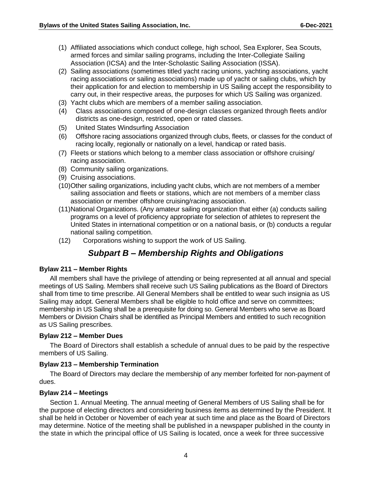- (1) Affiliated associations which conduct college, high school, Sea Explorer, Sea Scouts, armed forces and similar sailing programs, including the Inter-Collegiate Sailing Association (ICSA) and the Inter-Scholastic Sailing Association (ISSA).
- (2) Sailing associations (sometimes titled yacht racing unions, yachting associations, yacht racing associations or sailing associations) made up of yacht or sailing clubs, which by their application for and election to membership in US Sailing accept the responsibility to carry out, in their respective areas, the purposes for which US Sailing was organized.
- (3) Yacht clubs which are members of a member sailing association.
- (4) Class associations composed of one-design classes organized through fleets and/or districts as one-design, restricted, open or rated classes.
- (5) United States Windsurfing Association
- (6) Offshore racing associations organized through clubs, fleets, or classes for the conduct of racing locally, regionally or nationally on a level, handicap or rated basis.
- (7) Fleets or stations which belong to a member class association or offshore cruising/ racing association.
- (8) Community sailing organizations.
- (9) Cruising associations.
- (10)Other sailing organizations, including yacht clubs, which are not members of a member sailing association and fleets or stations, which are not members of a member class association or member offshore cruising/racing association.
- (11)National Organizations. (Any amateur sailing organization that either (a) conducts sailing programs on a level of proficiency appropriate for selection of athletes to represent the United States in international competition or on a national basis, or (b) conducts a regular national sailing competition.
- (12) Corporations wishing to support the work of US Sailing.

### *Subpart B – Membership Rights and Obligations*

#### <span id="page-5-1"></span><span id="page-5-0"></span>**Bylaw 211 – Member Rights**

All members shall have the privilege of attending or being represented at all annual and special meetings of US Sailing. Members shall receive such US Sailing publications as the Board of Directors shall from time to time prescribe. All General Members shall be entitled to wear such insignia as US Sailing may adopt. General Members shall be eligible to hold office and serve on committees; membership in US Sailing shall be a prerequisite for doing so. General Members who serve as Board Members or Division Chairs shall be identified as Principal Members and entitled to such recognition as US Sailing prescribes.

#### <span id="page-5-2"></span>**Bylaw 212 – Member Dues**

The Board of Directors shall establish a schedule of annual dues to be paid by the respective members of US Sailing.

#### <span id="page-5-3"></span>**Bylaw 213 – Membership Termination**

The Board of Directors may declare the membership of any member forfeited for non-payment of dues.

#### <span id="page-5-4"></span>**Bylaw 214 – Meetings**

Section 1. Annual Meeting. The annual meeting of General Members of US Sailing shall be for the purpose of electing directors and considering business items as determined by the President. It shall be held in October or November of each year at such time and place as the Board of Directors may determine. Notice of the meeting shall be published in a newspaper published in the county in the state in which the principal office of US Sailing is located, once a week for three successive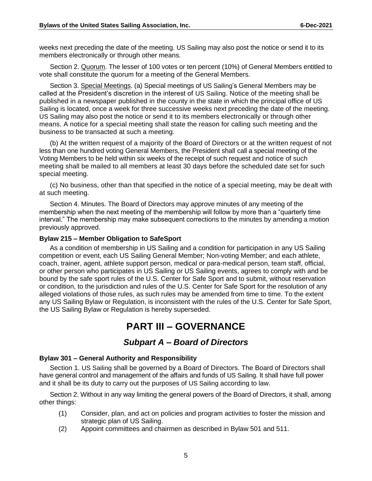weeks next preceding the date of the meeting. US Sailing may also post the notice or send it to its members electronically or through other means.

Section 2. Quorum. The lesser of 100 votes or ten percent (10%) of General Members entitled to vote shall constitute the quorum for a meeting of the General Members.

Section 3. Special Meetings. (a) Special meetings of US Sailing's General Members may be called at the President's discretion in the interest of US Sailing. Notice of the meeting shall be published in a newspaper published in the county in the state in which the principal office of US Sailing is located, once a week for three successive weeks next preceding the date of the meeting. US Sailing may also post the notice or send it to its members electronically or through other means. A notice for a special meeting shall state the reason for calling such meeting and the business to be transacted at such a meeting.

(b) At the written request of a majority of the Board of Directors or at the written request of not less than one hundred voting General Members, the President shall call a special meeting of the Voting Members to be held within six weeks of the receipt of such request and notice of such meeting shall be mailed to all members at least 30 days before the scheduled date set for such special meeting.

(c) No business, other than that specified in the notice of a special meeting, may be dealt with at such meeting.

Section 4. Minutes. The Board of Directors may approve minutes of any meeting of the membership when the next meeting of the membership will follow by more than a "quarterly time interval." The membership may make subsequent corrections to the minutes by amending a motion previously approved.

#### <span id="page-6-0"></span>**Bylaw 215 – Member Obligation to SafeSport**

As a condition of membership in US Sailing and a condition for participation in any US Sailing competition or event, each US Sailing General Member; Non-voting Member; and each athlete, coach, trainer, agent, athlete support person, medical or para-medical person, team staff, official, or other person who participates in US Sailing or US Sailing events, agrees to comply with and be bound by the safe sport rules of the U.S. Center for Safe Sport and to submit, without reservation or condition, to the jurisdiction and rules of the U.S. Center for Safe Sport for the resolution of any alleged violations of those rules, as such rules may be amended from time to time. To the extent any US Sailing Bylaw or Regulation, is inconsistent with the rules of the U.S. Center for Safe Sport, the US Sailing Bylaw or Regulation is hereby superseded.

### **PART III – GOVERNANCE**

#### *Subpart A – Board of Directors*

#### <span id="page-6-3"></span><span id="page-6-2"></span><span id="page-6-1"></span>**Bylaw 301 – General Authority and Responsibility**

Section 1. US Sailing shall be governed by a Board of Directors. The Board of Directors shall have general control and management of the affairs and funds of US Sailing. It shall have full power and it shall be its duty to carry out the purposes of US Sailing according to law.

Section 2. Without in any way limiting the general powers of the Board of Directors, it shall, among other things:

- (1) Consider, plan, and act on policies and program activities to foster the mission and strategic plan of US Sailing.
- (2) Appoint committees and chairmen as described in Bylaw 501 and 511.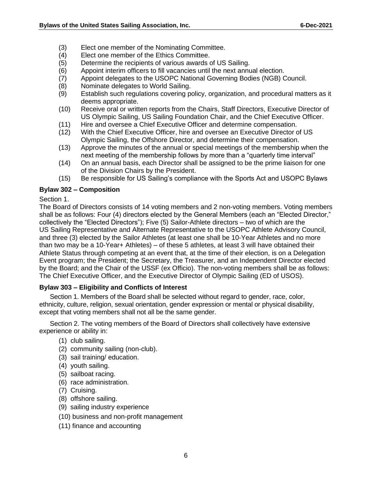- (3) Elect one member of the Nominating Committee.
- (4) Elect one member of the Ethics Committee.
- (5) Determine the recipients of various awards of US Sailing.
- (6) Appoint interim officers to fill vacancies until the next annual election.
- (7) Appoint delegates to the USOPC National Governing Bodies (NGB) Council.
- (8) Nominate delegates to World Sailing.
- (9) Establish such regulations covering policy, organization, and procedural matters as it deems appropriate.
- (10) Receive oral or written reports from the Chairs, Staff Directors, Executive Director of US Olympic Sailing, US Sailing Foundation Chair, and the Chief Executive Officer.
- (11) Hire and oversee a Chief Executive Officer and determine compensation.
- (12) With the Chief Executive Officer, hire and oversee an Executive Director of US Olympic Sailing, the Offshore Director, and determine their compensation.
- (13) Approve the minutes of the annual or special meetings of the membership when the next meeting of the membership follows by more than a "quarterly time interval"
- (14) On an annual basis, each Director shall be assigned to be the prime liaison for one of the Division Chairs by the President.
- (15) Be responsible for US Sailing's compliance with the Sports Act and USOPC Bylaws

#### <span id="page-7-0"></span>**Bylaw 302 – Composition**

#### Section 1.

The Board of Directors consists of 14 voting members and 2 non-voting members. Voting members shall be as follows: Four (4) directors elected by the General Members (each an "Elected Director," collectively the "Elected Directors"); Five (5) Sailor-Athlete directors – two of which are the US Sailing Representative and Alternate Representative to the USOPC Athlete Advisory Council, and three (3) elected by the Sailor Athletes (at least one shall be 10-Year Athletes and no more than two may be a 10-Year+ Athletes) – of these 5 athletes, at least 3 will have obtained their Athlete Status through competing at an event that, at the time of their election, is on a Delegation Event program; the President; the Secretary, the Treasurer, and an Independent Director elected by the Board; and the Chair of the USSF (ex Officio). The non-voting members shall be as follows: The Chief Executive Officer, and the Executive Director of Olympic Sailing (ED of USOS).

#### <span id="page-7-1"></span>**Bylaw 303 – Eligibility and Conflicts of Interest**

Section 1. Members of the Board shall be selected without regard to gender, race, color, ethnicity, culture, religion, sexual orientation, gender expression or mental or physical disability, except that voting members shall not all be the same gender.

Section 2. The voting members of the Board of Directors shall collectively have extensive experience or ability in:

- (1) club sailing.
- (2) community sailing (non-club).
- (3) sail training/ education.
- (4) youth sailing.
- (5) sailboat racing.
- (6) race administration.
- (7) Cruising.
- (8) offshore sailing.
- (9) sailing industry experience
- (10) business and non-profit management
- (11) finance and accounting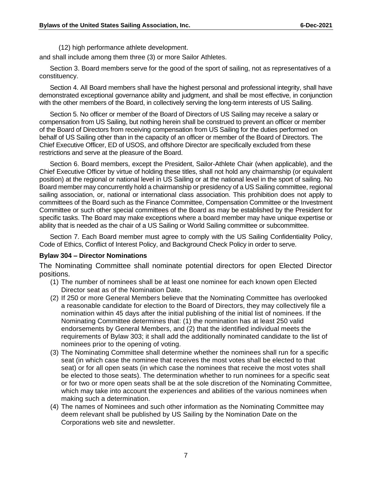(12) high performance athlete development.

and shall include among them three (3) or more Sailor Athletes.

Section 3. Board members serve for the good of the sport of sailing, not as representatives of a constituency.

Section 4. All Board members shall have the highest personal and professional integrity, shall have demonstrated exceptional governance ability and judgment, and shall be most effective, in conjunction with the other members of the Board, in collectively serving the long-term interests of US Sailing.

Section 5. No officer or member of the Board of Directors of US Sailing may receive a salary or compensation from US Sailing, but nothing herein shall be construed to prevent an officer or member of the Board of Directors from receiving compensation from US Sailing for the duties performed on behalf of US Sailing other than in the capacity of an officer or member of the Board of Directors. The Chief Executive Officer, ED of USOS, and offshore Director are specifically excluded from these restrictions and serve at the pleasure of the Board.

Section 6. Board members, except the President, Sailor-Athlete Chair (when applicable), and the Chief Executive Officer by virtue of holding these titles, shall not hold any chairmanship (or equivalent position) at the regional or national level in US Sailing or at the national level in the sport of sailing. No Board member may concurrently hold a chairmanship or presidency of a US Sailing committee, regional sailing association, or, national or international class association. This prohibition does not apply to committees of the Board such as the Finance Committee, Compensation Committee or the Investment Committee or such other special committees of the Board as may be established by the President for specific tasks. The Board may make exceptions where a board member may have unique expertise or ability that is needed as the chair of a US Sailing or World Sailing committee or subcommittee.

Section 7. Each Board member must agree to comply with the US Sailing Confidentiality Policy, Code of Ethics, Conflict of Interest Policy, and Background Check Policy in order to serve.

#### <span id="page-8-0"></span>**Bylaw 304 – Director Nominations**

The Nominating Committee shall nominate potential directors for open Elected Director positions.

- (1) The number of nominees shall be at least one nominee for each known open Elected Director seat as of the Nomination Date.
- (2) If 250 or more General Members believe that the Nominating Committee has overlooked a reasonable candidate for election to the Board of Directors, they may collectively file a nomination within 45 days after the initial publishing of the initial list of nominees. If the Nominating Committee determines that: (1) the nomination has at least 250 valid endorsements by General Members, and (2) that the identified individual meets the requirements of Bylaw 303; it shall add the additionally nominated candidate to the list of nominees prior to the opening of voting.
- (3) The Nominating Committee shall determine whether the nominees shall run for a specific seat (in which case the nominee that receives the most votes shall be elected to that seat) or for all open seats (in which case the nominees that receive the most votes shall be elected to those seats). The determination whether to run nominees for a specific seat or for two or more open seats shall be at the sole discretion of the Nominating Committee, which may take into account the experiences and abilities of the various nominees when making such a determination.
- (4) The names of Nominees and such other information as the Nominating Committee may deem relevant shall be published by US Sailing by the Nomination Date on the Corporations web site and newsletter.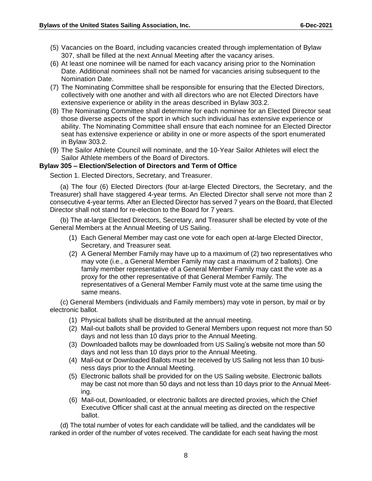- (5) Vacancies on the Board, including vacancies created through implementation of Bylaw 307, shall be filled at the next Annual Meeting after the vacancy arises.
- (6) At least one nominee will be named for each vacancy arising prior to the Nomination Date. Additional nominees shall not be named for vacancies arising subsequent to the Nomination Date.
- (7) The Nominating Committee shall be responsible for ensuring that the Elected Directors, collectively with one another and with all directors who are not Elected Directors have extensive experience or ability in the areas described in Bylaw 303.2.
- (8) The Nominating Committee shall determine for each nominee for an Elected Director seat those diverse aspects of the sport in which such individual has extensive experience or ability. The Nominating Committee shall ensure that each nominee for an Elected Director seat has extensive experience or ability in one or more aspects of the sport enumerated in Bylaw 303.2.
- (9) The Sailor Athlete Council will nominate, and the 10-Year Sailor Athletes will elect the Sailor Athlete members of the Board of Directors.

#### <span id="page-9-0"></span>**Bylaw 305 – Election/Selection of Directors and Term of Office**

Section 1. Elected Directors, Secretary, and Treasurer.

(a) The four (6) Elected Directors (four at-large Elected Directors, the Secretary, and the Treasurer) shall have staggered 4-year terms. An Elected Director shall serve not more than 2 consecutive 4-year terms. After an Elected Director has served 7 years on the Board, that Elected Director shall not stand for re-election to the Board for 7 years.

(b) The at-large Elected Directors, Secretary, and Treasurer shall be elected by vote of the General Members at the Annual Meeting of US Sailing.

- (1) Each General Member may cast one vote for each open at-large Elected Director, Secretary, and Treasurer seat.
- (2) A General Member Family may have up to a maximum of (2) two representatives who may vote (i.e., a General Member Family may cast a maximum of 2 ballots). One family member representative of a General Member Family may cast the vote as a proxy for the other representative of that General Member Family. The representatives of a General Member Family must vote at the same time using the same means.

(c) General Members (individuals and Family members) may vote in person, by mail or by electronic ballot.

- (1) Physical ballots shall be distributed at the annual meeting.
- (2) Mail-out ballots shall be provided to General Members upon request not more than 50 days and not less than 10 days prior to the Annual Meeting.
- (3) Downloaded ballots may be downloaded from US Sailing's website not more than 50 days and not less than 10 days prior to the Annual Meeting.
- (4) Mail-out or Downloaded Ballots must be received by US Sailing not less than 10 business days prior to the Annual Meeting.
- (5) Electronic ballots shall be provided for on the US Sailing website. Electronic ballots may be cast not more than 50 days and not less than 10 days prior to the Annual Meeting.
- (6) Mail-out, Downloaded, or electronic ballots are directed proxies, which the Chief Executive Officer shall cast at the annual meeting as directed on the respective ballot.

(d) The total number of votes for each candidate will be tallied, and the candidates will be ranked in order of the number of votes received. The candidate for each seat having the most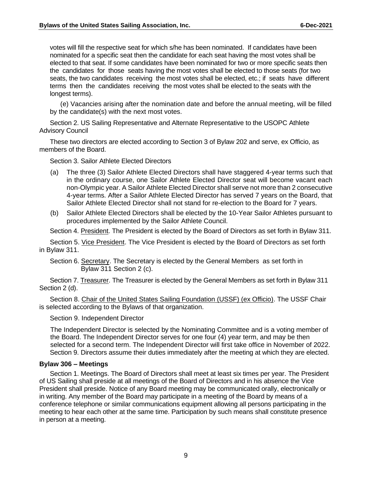votes will fill the respective seat for which s/he has been nominated. If candidates have been nominated for a specific seat then the candidate for each seat having the most votes shall be elected to that seat. If some candidates have been nominated for two or more specific seats then the candidates for those seats having the most votes shall be elected to those seats (for two seats, the two candidates receiving the most votes shall be elected, etc.; if seats have different terms then the candidates receiving the most votes shall be elected to the seats with the longest terms).

(e) Vacancies arising after the nomination date and before the annual meeting, will be filled by the candidate(s) with the next most votes.

Section 2. US Sailing Representative and Alternate Representative to the USOPC Athlete Advisory Council

These two directors are elected according to Section 3 of Bylaw 202 and serve, ex Officio, as members of the Board.

Section 3. Sailor Athlete Elected Directors

- (a) The three (3) Sailor Athlete Elected Directors shall have staggered 4-year terms such that in the ordinary course, one Sailor Athlete Elected Director seat will become vacant each non-Olympic year. A Sailor Athlete Elected Director shall serve not more than 2 consecutive 4-year terms. After a Sailor Athlete Elected Director has served 7 years on the Board, that Sailor Athlete Elected Director shall not stand for re-election to the Board for 7 years.
- (b) Sailor Athlete Elected Directors shall be elected by the 10-Year Sailor Athletes pursuant to procedures implemented by the Sailor Athlete Council.

Section 4. President. The President is elected by the Board of Directors as set forth in Bylaw 311.

Section 5. Vice President. The Vice President is elected by the Board of Directors as set forth in Bylaw 311.

Section 6. Secretary. The Secretary is elected by the General Members as set forth in Bylaw 311 Section 2 (c).

Section 7. Treasurer. The Treasurer is elected by the General Members as set forth in Bylaw 311 Section 2 (d).

Section 8. Chair of the United States Sailing Foundation (USSF) (ex Officio). The USSF Chair is selected according to the Bylaws of that organization.

Section 9. Independent Director

The Independent Director is selected by the Nominating Committee and is a voting member of the Board. The Independent Director serves for one four (4) year term, and may be then selected for a second term. The Independent Director will first take office in November of 2022. Section 9. Directors assume their duties immediately after the meeting at which they are elected.

#### <span id="page-10-0"></span>**Bylaw 306 – Meetings**

Section 1. Meetings. The Board of Directors shall meet at least six times per year. The President of US Sailing shall preside at all meetings of the Board of Directors and in his absence the Vice President shall preside. Notice of any Board meeting may be communicated orally, electronically or in writing. Any member of the Board may participate in a meeting of the Board by means of a conference telephone or similar communications equipment allowing all persons participating in the meeting to hear each other at the same time. Participation by such means shall constitute presence in person at a meeting.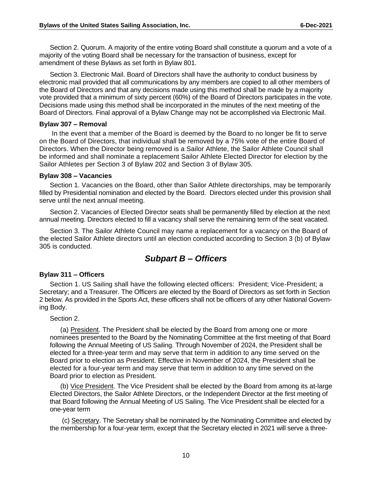Section 2. Quorum. A majority of the entire voting Board shall constitute a quorum and a vote of a majority of the voting Board shall be necessary for the transaction of business, except for amendment of these Bylaws as set forth in Bylaw 801.

Section 3. Electronic Mail. Board of Directors shall have the authority to conduct business by electronic mail provided that all communications by any members are copied to all other members of the Board of Directors and that any decisions made using this method shall be made by a majority vote provided that a minimum of sixty percent (60%) of the Board of Directors participates in the vote. Decisions made using this method shall be incorporated in the minutes of the next meeting of the Board of Directors. Final approval of a Bylaw Change may not be accomplished via Electronic Mail.

#### <span id="page-11-0"></span>**Bylaw 307 – Removal**

In the event that a member of the Board is deemed by the Board to no longer be fit to serve on the Board of Directors, that individual shall be removed by a 75% vote of the entire Board of Directors. When the Director being removed is a Sailor Athlete, the Sailor Athlete Council shall be informed and shall nominate a replacement Sailor Athlete Elected Director for election by the Sailor Athletes per Section 3 of Bylaw 202 and Section 3 of Bylaw 305.

#### <span id="page-11-1"></span>**Bylaw 308 – Vacancies**

Section 1. Vacancies on the Board, other than Sailor Athlete directorships, may be temporarily filled by Presidential nomination and elected by the Board. Directors elected under this provision shall serve until the next annual meeting.

Section 2. Vacancies of Elected Director seats shall be permanently filled by election at the next annual meeting. Directors elected to fill a vacancy shall serve the remaining term of the seat vacated.

Section 3. The Sailor Athlete Council may name a replacement for a vacancy on the Board of the elected Sailor Athlete directors until an election conducted according to Section 3 (b) of Bylaw 305 is conducted.

### *Subpart B – Officers*

#### <span id="page-11-3"></span><span id="page-11-2"></span>**Bylaw 311 – Officers**

Section 1. US Sailing shall have the following elected officers: President; Vice-President; a Secretary; and a Treasurer. The Officers are elected by the Board of Directors as set forth in Section 2 below. As provided in the Sports Act, these officers shall not be officers of any other National Governing Body.

Section 2.

(a) President. The President shall be elected by the Board from among one or more nominees presented to the Board by the Nominating Committee at the first meeting of that Board following the Annual Meeting of US Sailing. Through November of 2024, the President shall be elected for a three-year term and may serve that term in addition to any time served on the Board prior to election as President. Effective in November of 2024, the President shall be elected for a four-year term and may serve that term in addition to any time served on the Board prior to election as President.

(b) Vice President. The Vice President shall be elected by the Board from among its at-large Elected Directors, the Sailor Athlete Directors, or the Independent Director at the first meeting of that Board following the Annual Meeting of US Sailing. The Vice President shall be elected for a one-year term

(c) Secretary. The Secretary shall be nominated by the Nominating Committee and elected by the membership for a four-year term, except that the Secretary elected in 2021 will serve a three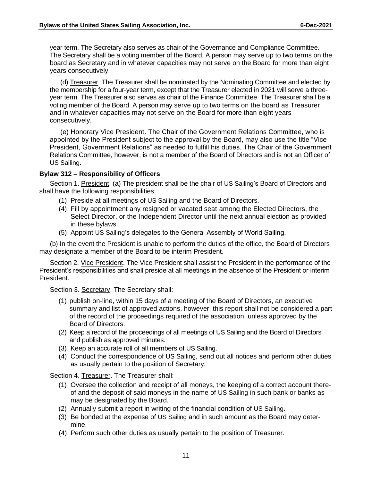year term. The Secretary also serves as chair of the Governance and Compliance Committee. The Secretary shall be a voting member of the Board. A person may serve up to two terms on the board as Secretary and in whatever capacities may not serve on the Board for more than eight years consecutively.

(d) Treasurer. The Treasurer shall be nominated by the Nominating Committee and elected by the membership for a four-year term, except that the Treasurer elected in 2021 will serve a threeyear term. The Treasurer also serves as chair of the Finance Committee. The Treasurer shall be a voting member of the Board. A person may serve up to two terms on the board as Treasurer and in whatever capacities may not serve on the Board for more than eight years consecutively.

(e) Honorary Vice President. The Chair of the Government Relations Committee, who is appointed by the President subject to the approval by the Board, may also use the title "Vice President, Government Relations" as needed to fulfill his duties. The Chair of the Government Relations Committee, however, is not a member of the Board of Directors and is not an Officer of US Sailing.

#### <span id="page-12-0"></span>**Bylaw 312 – Responsibility of Officers**

Section 1. President. (a) The president shall be the chair of US Sailing's Board of Directors and shall have the following responsibilities:

- (1) Preside at all meetings of US Sailing and the Board of Directors.
- (4) Fill by appointment any resigned or vacated seat among the Elected Directors, the Select Director, or the Independent Director until the next annual election as provided in these bylaws.
- (5) Appoint US Sailing's delegates to the General Assembly of World Sailing.

(b) In the event the President is unable to perform the duties of the office, the Board of Directors may designate a member of the Board to be interim President.

Section 2. Vice President. The Vice President shall assist the President in the performance of the President's responsibilities and shall preside at all meetings in the absence of the President or interim President.

Section 3. Secretary. The Secretary shall:

- (1) publish on-line, within 15 days of a meeting of the Board of Directors, an executive summary and list of approved actions, however, this report shall not be considered a part of the record of the proceedings required of the association, unless approved by the Board of Directors.
- (2) Keep a record of the proceedings of all meetings of US Sailing and the Board of Directors and publish as approved minutes.
- (3) Keep an accurate roll of all members of US Sailing.
- (4) Conduct the correspondence of US Sailing, send out all notices and perform other duties as usually pertain to the position of Secretary.

Section 4. Treasurer. The Treasurer shall:

- (1) Oversee the collection and receipt of all moneys, the keeping of a correct account thereof and the deposit of said moneys in the name of US Sailing in such bank or banks as may be designated by the Board.
- (2) Annually submit a report in writing of the financial condition of US Sailing.
- (3) Be bonded at the expense of US Sailing and in such amount as the Board may determine.
- (4) Perform such other duties as usually pertain to the position of Treasurer.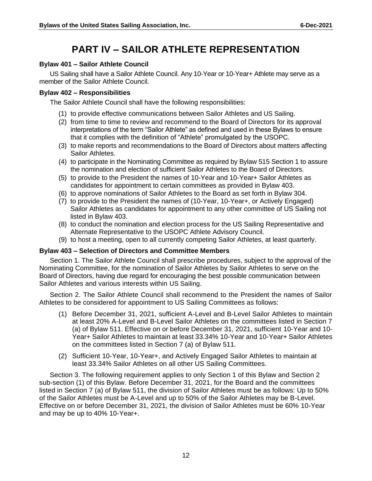### **PART IV – SAILOR ATHLETE REPRESENTATION**

#### <span id="page-13-1"></span><span id="page-13-0"></span>**Bylaw 401 – Sailor Athlete Council**

US Sailing shall have a Sailor Athlete Council. Any 10-Year or 10-Year+ Athlete may serve as a member of the Sailor Athlete Council.

#### <span id="page-13-2"></span>**Bylaw 402 – Responsibilities**

The Sailor Athlete Council shall have the following responsibilities:

- (1) to provide effective communications between Sailor Athletes and US Sailing.
- (2) from time to time to review and recommend to the Board of Directors for its approval interpretations of the term "Sailor Athlete" as defined and used in these Bylaws to ensure that it complies with the definition of "Athlete" promulgated by the USOPC.
- (3) to make reports and recommendations to the Board of Directors about matters affecting Sailor Athletes.
- (4) to participate in the Nominating Committee as required by Bylaw 515 Section 1 to assure the nomination and election of sufficient Sailor Athletes to the Board of Directors.
- (5) to provide to the President the names of 10-Year and 10-Year+ Sailor Athletes as candidates for appointment to certain committees as provided in Bylaw 403.
- (6) to approve nominations of Sailor Athletes to the Board as set forth in Bylaw 304.
- (7) to provide to the President the names of (10-Year, 10-Year+, or Actively Engaged) Sailor Athletes as candidates for appointment to any other committee of US Sailing not listed in Bylaw 403.
- (8) to conduct the nomination and election process for the US Sailing Representative and Alternate Representative to the USOPC Athlete Advisory Council.
- (9) to host a meeting, open to all currently competing Sailor Athletes, at least quarterly.

#### <span id="page-13-3"></span>**Bylaw 403 – Selection of Directors and Committee Members**

Section 1. The Sailor Athlete Council shall prescribe procedures, subject to the approval of the Nominating Committee, for the nomination of Sailor Athletes by Sailor Athletes to serve on the Board of Directors, having due regard for encouraging the best possible communication between Sailor Athletes and various interests within US Sailing.

Section 2. The Sailor Athlete Council shall recommend to the President the names of Sailor Athletes to be considered for appointment to US Sailing Committees as follows:

- (1) Before December 31, 2021, sufficient A-Level and B-Level Sailor Athletes to maintain at least 20% A-Level and B-Level Sailor Athletes on the committees listed in Section 7 (a) of Bylaw 511. Effective on or before December 31, 2021, sufficient 10-Year and 10- Year+ Sailor Athletes to maintain at least 33.34% 10-Year and 10-Year+ Sailor Athletes on the committees listed in Section 7 (a) of Bylaw 511.
- (2) Sufficient 10-Year, 10-Year+, and Actively Engaged Sailor Athletes to maintain at least 33.34% Sailor Athletes on all other US Sailing Committees.

Section 3. The following requirement applies to only Section 1 of this Bylaw and Section 2 sub-section (1) of this Bylaw. Before December 31, 2021, for the Board and the committees listed in Section 7 (a) of Bylaw 511, the division of Sailor Athletes must be as follows: Up to 50% of the Sailor Athletes must be A-Level and up to 50% of the Sailor Athletes may be B-Level. Effective on or before December 31, 2021, the division of Sailor Athletes must be 60% 10-Year and may be up to 40% 10-Year+.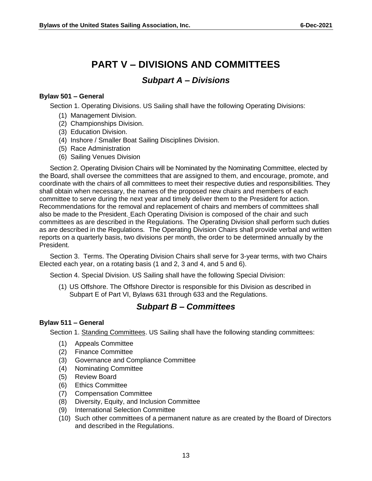### **PART V – DIVISIONS AND COMMITTEES**

#### *Subpart A – Divisions*

#### <span id="page-14-2"></span><span id="page-14-1"></span><span id="page-14-0"></span>**Bylaw 501 – General**

Section 1. Operating Divisions. US Sailing shall have the following Operating Divisions:

- (1) Management Division.
- (2) Championships Division.
- (3) Education Division.
- (4) Inshore / Smaller Boat Sailing Disciplines Division.
- (5) Race Administration
- (6) Sailing Venues Division

Section 2. Operating Division Chairs will be Nominated by the Nominating Committee, elected by the Board, shall oversee the committees that are assigned to them, and encourage, promote, and coordinate with the chairs of all committees to meet their respective duties and responsibilities. They shall obtain when necessary, the names of the proposed new chairs and members of each committee to serve during the next year and timely deliver them to the President for action. Recommendations for the removal and replacement of chairs and members of committees shall also be made to the President. Each Operating Division is composed of the chair and such committees as are described in the Regulations. The Operating Division shall perform such duties as are described in the Regulations. The Operating Division Chairs shall provide verbal and written reports on a quarterly basis, two divisions per month, the order to be determined annually by the President.

Section 3. Terms. The Operating Division Chairs shall serve for 3-year terms, with two Chairs Elected each year, on a rotating basis (1 and 2, 3 and 4, and 5 and 6).

Section 4. Special Division. US Sailing shall have the following Special Division:

(1) US Offshore. The Offshore Director is responsible for this Division as described in Subpart E of Part VI, Bylaws 631 through 633 and the Regulations.

### *Subpart B – Committees*

#### <span id="page-14-4"></span><span id="page-14-3"></span>**Bylaw 511 – General**

Section 1. Standing Committees. US Sailing shall have the following standing committees:

- (1) Appeals Committee
- (2) Finance Committee
- (3) Governance and Compliance Committee
- (4) Nominating Committee
- (5) Review Board
- (6) Ethics Committee
- (7) Compensation Committee
- (8) Diversity, Equity, and Inclusion Committee
- (9) International Selection Committee
- (10) Such other committees of a permanent nature as are created by the Board of Directors and described in the Regulations.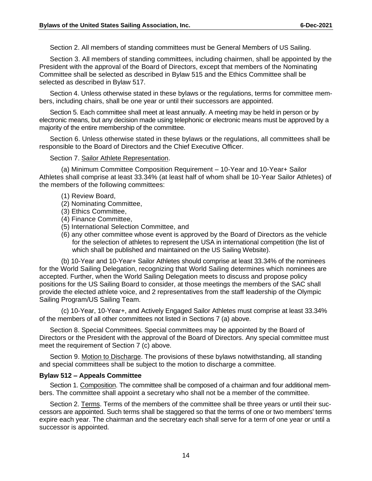Section 2. All members of standing committees must be General Members of US Sailing.

Section 3. All members of standing committees, including chairmen, shall be appointed by the President with the approval of the Board of Directors, except that members of the Nominating Committee shall be selected as described in Bylaw 515 and the Ethics Committee shall be selected as described in Bylaw 517.

Section 4. Unless otherwise stated in these bylaws or the regulations, terms for committee members, including chairs, shall be one year or until their successors are appointed.

Section 5. Each committee shall meet at least annually. A meeting may be held in person or by electronic means, but any decision made using telephonic or electronic means must be approved by a majority of the entire membership of the committee.

Section 6. Unless otherwise stated in these bylaws or the regulations, all committees shall be responsible to the Board of Directors and the Chief Executive Officer.

#### Section 7. Sailor Athlete Representation.

(a) Minimum Committee Composition Requirement – 10-Year and 10-Year+ Sailor Athletes shall comprise at least 33.34% (at least half of whom shall be 10-Year Sailor Athletes) of the members of the following committees:

- (1) Review Board,
- (2) Nominating Committee,
- (3) Ethics Committee,
- (4) Finance Committee,
- (5) International Selection Committee, and
- (6) any other committee whose event is approved by the Board of Directors as the vehicle for the selection of athletes to represent the USA in international competition (the list of which shall be published and maintained on the US Sailing Website).

(b) 10-Year and 10-Year+ Sailor Athletes should comprise at least 33.34% of the nominees for the World Sailing Delegation, recognizing that World Sailing determines which nominees are accepted. Further, when the World Sailing Delegation meets to discuss and propose policy positions for the US Sailing Board to consider, at those meetings the members of the SAC shall provide the elected athlete voice, and 2 representatives from the staff leadership of the Olympic Sailing Program/US Sailing Team.

(c) 10-Year, 10-Year+, and Actively Engaged Sailor Athletes must comprise at least 33.34% of the members of all other committees not listed in Sections 7 (a) above.

Section 8. Special Committees. Special committees may be appointed by the Board of Directors or the President with the approval of the Board of Directors. Any special committee must meet the requirement of Section 7 (c) above.

Section 9. Motion to Discharge. The provisions of these bylaws notwithstanding, all standing and special committees shall be subject to the motion to discharge a committee.

#### <span id="page-15-0"></span>**Bylaw 512 – Appeals Committee**

Section 1. Composition. The committee shall be composed of a chairman and four additional members. The committee shall appoint a secretary who shall not be a member of the committee.

Section 2. Terms. Terms of the members of the committee shall be three years or until their successors are appointed. Such terms shall be staggered so that the terms of one or two members' terms expire each year. The chairman and the secretary each shall serve for a term of one year or until a successor is appointed.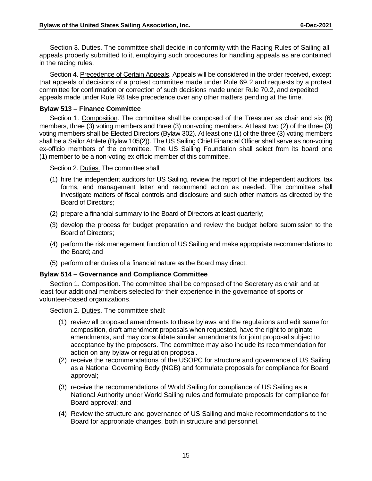Section 3. Duties. The committee shall decide in conformity with the Racing Rules of Sailing all appeals properly submitted to it, employing such procedures for handling appeals as are contained in the racing rules.

Section 4. Precedence of Certain Appeals. Appeals will be considered in the order received, except that appeals of decisions of a protest committee made under Rule 69.2 and requests by a protest committee for confirmation or correction of such decisions made under Rule 70.2, and expedited appeals made under Rule R8 take precedence over any other matters pending at the time.

#### <span id="page-16-0"></span>**Bylaw 513 – Finance Committee**

Section 1. Composition. The committee shall be composed of the Treasurer as chair and six (6) members, three (3) voting members and three (3) non-voting members. At least two (2) of the three (3) voting members shall be Elected Directors (Bylaw 302). At least one (1) of the three (3) voting members shall be a Sailor Athlete (Bylaw 105(2)). The US Sailing Chief Financial Officer shall serve as non-voting ex-officio members of the committee. The US Sailing Foundation shall select from its board one (1) member to be a non-voting ex officio member of this committee.

Section 2. Duties. The committee shall

- (1) hire the independent auditors for US Sailing, review the report of the independent auditors, tax forms, and management letter and recommend action as needed. The committee shall investigate matters of fiscal controls and disclosure and such other matters as directed by the Board of Directors;
- (2) prepare a financial summary to the Board of Directors at least quarterly;
- (3) develop the process for budget preparation and review the budget before submission to the Board of Directors;
- (4) perform the risk management function of US Sailing and make appropriate recommendations to the Board; and
- (5) perform other duties of a financial nature as the Board may direct.

#### <span id="page-16-1"></span>**Bylaw 514 – Governance and Compliance Committee**

Section 1. Composition. The committee shall be composed of the Secretary as chair and at least four additional members selected for their experience in the governance of sports or volunteer-based organizations.

Section 2. Duties. The committee shall:

- (1) review all proposed amendments to these bylaws and the regulations and edit same for composition, draft amendment proposals when requested, have the right to originate amendments, and may consolidate similar amendments for joint proposal subject to acceptance by the proposers. The committee may also include its recommendation for action on any bylaw or regulation proposal.
- (2) receive the recommendations of the USOPC for structure and governance of US Sailing as a National Governing Body (NGB) and formulate proposals for compliance for Board approval;
- (3) receive the recommendations of World Sailing for compliance of US Sailing as a National Authority under World Sailing rules and formulate proposals for compliance for Board approval; and
- (4) Review the structure and governance of US Sailing and make recommendations to the Board for appropriate changes, both in structure and personnel.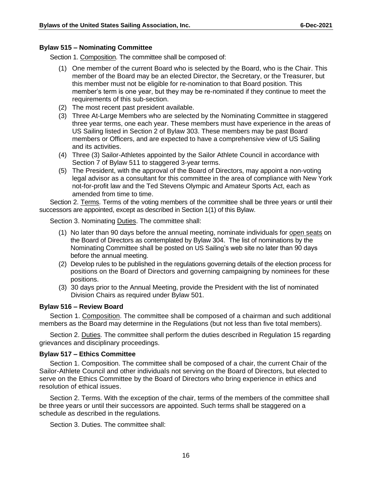#### <span id="page-17-0"></span>**Bylaw 515 – Nominating Committee**

Section 1. Composition. The committee shall be composed of:

- (1) One member of the current Board who is selected by the Board, who is the Chair. This member of the Board may be an elected Director, the Secretary, or the Treasurer, but this member must not be eligible for re-nomination to that Board position. This member's term is one year, but they may be re-nominated if they continue to meet the requirements of this sub-section.
- (2) The most recent past president available.
- (3) Three At-Large Members who are selected by the Nominating Committee in staggered three year terms, one each year. These members must have experience in the areas of US Sailing listed in Section 2 of Bylaw 303. These members may be past Board members or Officers, and are expected to have a comprehensive view of US Sailing and its activities.
- (4) Three (3) Sailor-Athletes appointed by the Sailor Athlete Council in accordance with Section 7 of Bylaw 511 to staggered 3-year terms.
- (5) The President, with the approval of the Board of Directors, may appoint a non-voting legal advisor as a consultant for this committee in the area of compliance with New York not-for-profit law and the Ted Stevens Olympic and Amateur Sports Act, each as amended from time to time.

Section 2. Terms. Terms of the voting members of the committee shall be three years or until their successors are appointed, except as described in Section 1(1) of this Bylaw.

Section 3. Nominating Duties. The committee shall:

- (1) No later than 90 days before the annual meeting, nominate individuals for open seats on the Board of Directors as contemplated by Bylaw 304. The list of nominations by the Nominating Committee shall be posted on US Sailing's web site no later than 90 days before the annual meeting.
- (2) Develop rules to be published in the regulations governing details of the election process for positions on the Board of Directors and governing campaigning by nominees for these positions.
- (3) 30 days prior to the Annual Meeting, provide the President with the list of nominated Division Chairs as required under Bylaw 501.

#### <span id="page-17-1"></span>**Bylaw 516 – Review Board**

Section 1. Composition. The committee shall be composed of a chairman and such additional members as the Board may determine in the Regulations (but not less than five total members).

Section 2. Duties. The committee shall perform the duties described in Regulation 15 regarding grievances and disciplinary proceedings.

#### <span id="page-17-2"></span>**Bylaw 517 – Ethics Committee**

Section 1. Composition. The committee shall be composed of a chair, the current Chair of the Sailor-Athlete Council and other individuals not serving on the Board of Directors, but elected to serve on the Ethics Committee by the Board of Directors who bring experience in ethics and resolution of ethical issues.

Section 2. Terms. With the exception of the chair, terms of the members of the committee shall be three years or until their successors are appointed. Such terms shall be staggered on a schedule as described in the regulations.

Section 3. Duties. The committee shall: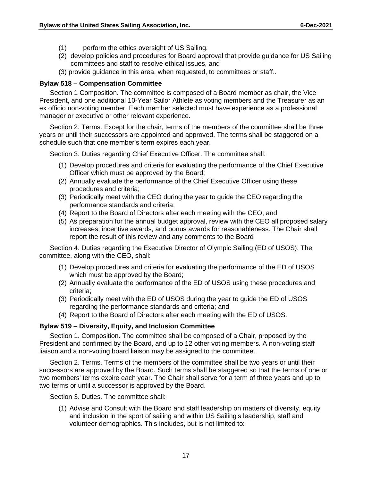- (1) perform the ethics oversight of US Sailing.
- (2) develop policies and procedures for Board approval that provide guidance for US Sailing committees and staff to resolve ethical issues, and
- (3) provide guidance in this area, when requested, to committees or staff..

#### <span id="page-18-0"></span>**Bylaw 518 – Compensation Committee**

Section 1 Composition. The committee is composed of a Board member as chair, the Vice President, and one additional 10-Year Sailor Athlete as voting members and the Treasurer as an ex officio non-voting member. Each member selected must have experience as a professional manager or executive or other relevant experience.

Section 2. Terms. Except for the chair, terms of the members of the committee shall be three years or until their successors are appointed and approved. The terms shall be staggered on a schedule such that one member's term expires each year.

Section 3. Duties regarding Chief Executive Officer. The committee shall:

- (1) Develop procedures and criteria for evaluating the performance of the Chief Executive Officer which must be approved by the Board;
- (2) Annually evaluate the performance of the Chief Executive Officer using these procedures and criteria;
- (3) Periodically meet with the CEO during the year to guide the CEO regarding the performance standards and criteria;
- (4) Report to the Board of Directors after each meeting with the CEO, and
- (5) As preparation for the annual budget approval, review with the CEO all proposed salary increases, incentive awards, and bonus awards for reasonableness. The Chair shall report the result of this review and any comments to the Board

Section 4. Duties regarding the Executive Director of Olympic Sailing (ED of USOS). The committee, along with the CEO, shall:

- (1) Develop procedures and criteria for evaluating the performance of the ED of USOS which must be approved by the Board;
- (2) Annually evaluate the performance of the ED of USOS using these procedures and criteria;
- (3) Periodically meet with the ED of USOS during the year to guide the ED of USOS regarding the performance standards and criteria; and
- (4) Report to the Board of Directors after each meeting with the ED of USOS.

#### <span id="page-18-1"></span>**Bylaw 519 – Diversity, Equity, and Inclusion Committee**

Section 1. Composition. The committee shall be composed of a Chair, proposed by the President and confirmed by the Board, and up to 12 other voting members. A non-voting staff liaison and a non-voting board liaison may be assigned to the committee.

Section 2. Terms. Terms of the members of the committee shall be two years or until their successors are approved by the Board. Such terms shall be staggered so that the terms of one or two members' terms expire each year. The Chair shall serve for a term of three years and up to two terms or until a successor is approved by the Board.

Section 3. Duties. The committee shall:

(1) Advise and Consult with the Board and staff leadership on matters of diversity, equity and inclusion in the sport of sailing and within US Sailing's leadership, staff and volunteer demographics. This includes, but is not limited to: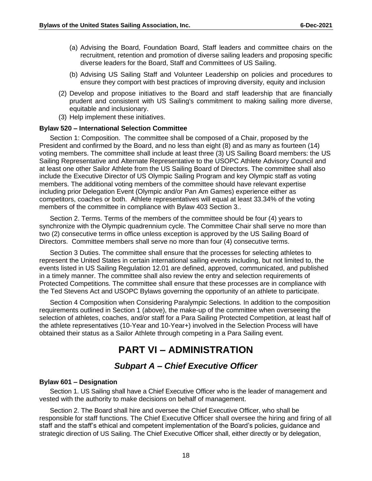- (a) Advising the Board, Foundation Board, Staff leaders and committee chairs on the recruitment, retention and promotion of diverse sailing leaders and proposing specific diverse leaders for the Board, Staff and Committees of US Sailing.
- (b) Advising US Sailing Staff and Volunteer Leadership on policies and procedures to ensure they comport with best practices of improving diversity, equity and inclusion
- (2) Develop and propose initiatives to the Board and staff leadership that are financially prudent and consistent with US Sailing's commitment to making sailing more diverse, equitable and inclusionary.
- (3) Help implement these initiatives.

#### <span id="page-19-0"></span>**Bylaw 520 – International Selection Committee**

Section 1: Composition. The committee shall be composed of a Chair, proposed by the President and confirmed by the Board, and no less than eight (8) and as many as fourteen (14) voting members. The committee shall include at least three (3) US Sailing Board members: the US Sailing Representative and Alternate Representative to the USOPC Athlete Advisory Council and at least one other Sailor Athlete from the US Sailing Board of Directors. The committee shall also include the Executive Director of US Olympic Sailing Program and key Olympic staff as voting members. The additional voting members of the committee should have relevant expertise including prior Delegation Event (Olympic and/or Pan Am Games) experience either as competitors, coaches or both. Athlete representatives will equal at least 33.34% of the voting members of the committee in compliance with Bylaw 403 Section 3..

Section 2. Terms. Terms of the members of the committee should be four (4) years to synchronize with the Olympic quadrennium cycle. The Committee Chair shall serve no more than two (2) consecutive terms in office unless exception is approved by the US Sailing Board of Directors. Committee members shall serve no more than four (4) consecutive terms.

Section 3 Duties. The committee shall ensure that the processes for selecting athletes to represent the United States in certain international sailing events including, but not limited to, the events listed in US Sailing Regulation 12.01 are defined, approved, communicated, and published in a timely manner. The committee shall also review the entry and selection requirements of Protected Competitions. The committee shall ensure that these processes are in compliance with the Ted Stevens Act and USOPC Bylaws governing the opportunity of an athlete to participate.

Section 4 Composition when Considering Paralympic Selections. In addition to the composition requirements outlined in Section 1 (above), the make-up of the committee when overseeing the selection of athletes, coaches, and/or staff for a Para Sailing Protected Competition, at least half of the athlete representatives (10-Year and 10-Year+) involved in the Selection Process will have obtained their status as a Sailor Athlete through competing in a Para Sailing event.

### **PART VI – ADMINISTRATION**

#### *Subpart A – Chief Executive Officer*

#### <span id="page-19-3"></span><span id="page-19-2"></span><span id="page-19-1"></span>**Bylaw 601 – Designation**

Section 1. US Sailing shall have a Chief Executive Officer who is the leader of management and vested with the authority to make decisions on behalf of management.

Section 2. The Board shall hire and oversee the Chief Executive Officer, who shall be responsible for staff functions. The Chief Executive Officer shall oversee the hiring and firing of all staff and the staff's ethical and competent implementation of the Board's policies, guidance and strategic direction of US Sailing. The Chief Executive Officer shall, either directly or by delegation,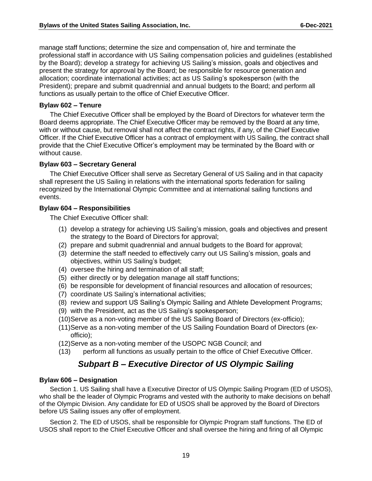manage staff functions; determine the size and compensation of, hire and terminate the professional staff in accordance with US Sailing compensation policies and guidelines (established by the Board); develop a strategy for achieving US Sailing's mission, goals and objectives and present the strategy for approval by the Board; be responsible for resource generation and allocation; coordinate international activities; act as US Sailing's spokesperson (with the President); prepare and submit quadrennial and annual budgets to the Board; and perform all functions as usually pertain to the office of Chief Executive Officer.

#### <span id="page-20-0"></span>**Bylaw 602 – Tenure**

The Chief Executive Officer shall be employed by the Board of Directors for whatever term the Board deems appropriate. The Chief Executive Officer may be removed by the Board at any time, with or without cause, but removal shall not affect the contract rights, if any, of the Chief Executive Officer. If the Chief Executive Officer has a contract of employment with US Sailing, the contract shall provide that the Chief Executive Officer's employment may be terminated by the Board with or without cause.

#### <span id="page-20-1"></span>**Bylaw 603 – Secretary General**

The Chief Executive Officer shall serve as Secretary General of US Sailing and in that capacity shall represent the US Sailing in relations with the international sports federation for sailing recognized by the International Olympic Committee and at international sailing functions and events.

#### <span id="page-20-2"></span>**Bylaw 604 – Responsibilities**

The Chief Executive Officer shall:

- (1) develop a strategy for achieving US Sailing's mission, goals and objectives and present the strategy to the Board of Directors for approval;
- (2) prepare and submit quadrennial and annual budgets to the Board for approval;
- (3) determine the staff needed to effectively carry out US Sailing's mission, goals and objectives, within US Sailing's budget;
- (4) oversee the hiring and termination of all staff;
- (5) either directly or by delegation manage all staff functions;
- (6) be responsible for development of financial resources and allocation of resources;
- (7) coordinate US Sailing's international activities;
- (8) review and support US Sailing's Olympic Sailing and Athlete Development Programs;
- (9) with the President, act as the US Sailing's spokesperson;
- (10)Serve as a non-voting member of the US Sailing Board of Directors (ex-officio);
- (11)Serve as a non-voting member of the US Sailing Foundation Board of Directors (exofficio);
- (12)Serve as a non-voting member of the USOPC NGB Council; and
- (13) perform all functions as usually pertain to the office of Chief Executive Officer.

### *Subpart B – Executive Director of US Olympic Sailing*

#### <span id="page-20-4"></span><span id="page-20-3"></span>**Bylaw 606 – Designation**

Section 1. US Sailing shall have a Executive Director of US Olympic Sailing Program (ED of USOS), who shall be the leader of Olympic Programs and vested with the authority to make decisions on behalf of the Olympic Division. Any candidate for ED of USOS shall be approved by the Board of Directors before US Sailing issues any offer of employment.

Section 2. The ED of USOS, shall be responsible for Olympic Program staff functions. The ED of USOS shall report to the Chief Executive Officer and shall oversee the hiring and firing of all Olympic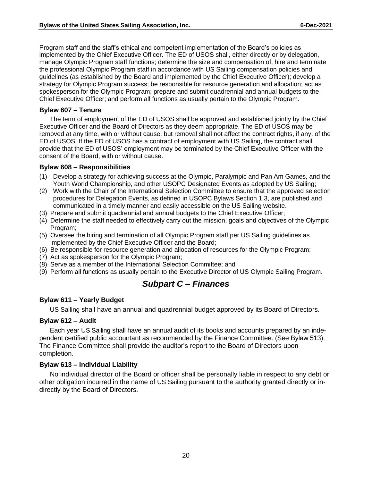Program staff and the staff's ethical and competent implementation of the Board's policies as implemented by the Chief Executive Officer. The ED of USOS shall, either directly or by delegation, manage Olympic Program staff functions; determine the size and compensation of, hire and terminate the professional Olympic Program staff in accordance with US Sailing compensation policies and guidelines (as established by the Board and implemented by the Chief Executive Officer); develop a strategy for Olympic Program success; be responsible for resource generation and allocation; act as spokesperson for the Olympic Program; prepare and submit quadrennial and annual budgets to the Chief Executive Officer; and perform all functions as usually pertain to the Olympic Program.

#### <span id="page-21-0"></span>**Bylaw 607 – Tenure**

The term of employment of the ED of USOS shall be approved and established jointly by the Chief Executive Officer and the Board of Directors as they deem appropriate. The ED of USOS may be removed at any time, with or without cause, but removal shall not affect the contract rights, if any, of the ED of USOS. If the ED of USOS has a contract of employment with US Sailing, the contract shall provide that the ED of USOS' employment may be terminated by the Chief Executive Officer with the consent of the Board, with or without cause.

#### <span id="page-21-1"></span>**Bylaw 608 – Responsibilities**

- (1) Develop a strategy for achieving success at the Olympic, Paralympic and Pan Am Games, and the Youth World Championship, and other USOPC Designated Events as adopted by US Sailing;
- (2) Work with the Chair of the International Selection Committee to ensure that the approved selection procedures for Delegation Events, as defined in USOPC Bylaws Section 1.3, are published and communicated in a timely manner and easily accessible on the US Sailing website.
- (3) Prepare and submit quadrennial and annual budgets to the Chief Executive Officer;
- (4) Determine the staff needed to effectively carry out the mission, goals and objectives of the Olympic Program;
- (5) Oversee the hiring and termination of all Olympic Program staff per US Sailing guidelines as implemented by the Chief Executive Officer and the Board;
- (6) Be responsible for resource generation and allocation of resources for the Olympic Program;
- (7) Act as spokesperson for the Olympic Program;
- (8) Serve as a member of the International Selection Committee; and
- <span id="page-21-2"></span>(9) Perform all functions as usually pertain to the Executive Director of US Olympic Sailing Program.

#### *Subpart C – Finances*

#### <span id="page-21-3"></span>**Bylaw 611 – Yearly Budget**

US Sailing shall have an annual and quadrennial budget approved by its Board of Directors.

#### <span id="page-21-4"></span>**Bylaw 612 – Audit**

Each year US Sailing shall have an annual audit of its books and accounts prepared by an independent certified public accountant as recommended by the Finance Committee. (See Bylaw 513). The Finance Committee shall provide the auditor's report to the Board of Directors upon completion.

#### <span id="page-21-5"></span>**Bylaw 613 – Individual Liability**

No individual director of the Board or officer shall be personally liable in respect to any debt or other obligation incurred in the name of US Sailing pursuant to the authority granted directly or indirectly by the Board of Directors.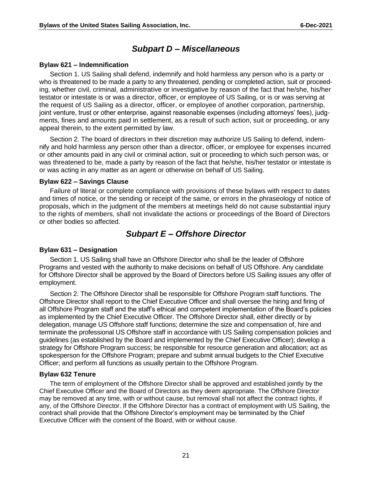#### *Subpart D – Miscellaneous*

#### <span id="page-22-1"></span><span id="page-22-0"></span>**Bylaw 621 – Indemnification**

Section 1. US Sailing shall defend, indemnify and hold harmless any person who is a party or who is threatened to be made a party to any threatened, pending or completed action, suit or proceeding, whether civil, criminal, administrative or investigative by reason of the fact that he/she, his/her testator or intestate is or was a director, officer, or employee of US Sailing, or is or was serving at the request of US Sailing as a director, officer, or employee of another corporation, partnership, joint venture, trust or other enterprise, against reasonable expenses (including attorneys' fees), judgments, fines and amounts paid in settlement, as a result of such action, suit or proceeding, or any appeal therein, to the extent permitted by law.

Section 2. The board of directors in their discretion may authorize US Sailing to defend, indemnify and hold harmless any person other than a director, officer, or employee for expenses incurred or other amounts paid in any civil or criminal action, suit or proceeding to which such person was, or was threatened to be, made a party by reason of the fact that he/she, his/her testator or intestate is or was acting in any matter as an agent or otherwise on behalf of US Sailing.

#### <span id="page-22-2"></span>**Bylaw 622 – Savings Clause**

Failure of literal or complete compliance with provisions of these bylaws with respect to dates and times of notice, or the sending or receipt of the same, or errors in the phraseology of notice of proposals, which in the judgment of the members at meetings held do not cause substantial injury to the rights of members, shall not invalidate the actions or proceedings of the Board of Directors or other bodies so affected.

#### *Subpart E – Offshore Director*

#### <span id="page-22-4"></span><span id="page-22-3"></span>**Bylaw 631 – Designation**

Section 1. US Sailing shall have an Offshore Director who shall be the leader of Offshore Programs and vested with the authority to make decisions on behalf of US Offshore. Any candidate for Offshore Director shall be approved by the Board of Directors before US Sailing issues any offer of employment.

Section 2. The Offshore Director shall be responsible for Offshore Program staff functions. The Offshore Director shall report to the Chief Executive Officer and shall oversee the hiring and firing of all Offshore Program staff and the staff's ethical and competent implementation of the Board's policies as implemented by the Chief Executive Officer. The Offshore Director shall, either directly or by delegation, manage US Offshore staff functions; determine the size and compensation of, hire and terminate the professional US Offshore staff in accordance with US Sailing compensation policies and guidelines (as established by the Board and implemented by the Chief Executive Officer); develop a strategy for Offshore Program success; be responsible for resource generation and allocation; act as spokesperson for the Offshore Program; prepare and submit annual budgets to the Chief Executive Officer; and perform all functions as usually pertain to the Offshore Program.

#### <span id="page-22-5"></span>**Bylaw 632 Tenure**

The term of employment of the Offshore Director shall be approved and established jointly by the Chief Executive Officer and the Board of Directors as they deem appropriate. The Offshore Director may be removed at any time, with or without cause, but removal shall not affect the contract rights, if any, of the Offshore Director. If the Offshore Director has a contract of employment with US Sailing, the contract shall provide that the Offshore Director's employment may be terminated by the Chief Executive Officer with the consent of the Board, with or without cause.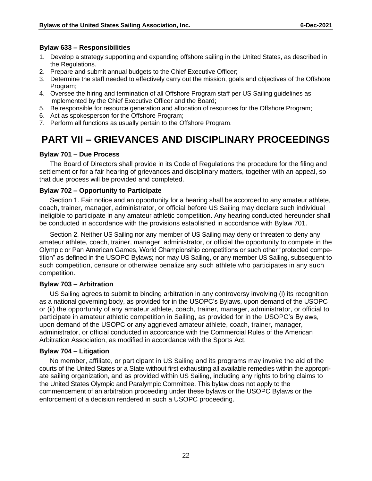#### <span id="page-23-0"></span>**Bylaw 633 – Responsibilities**

- 1. Develop a strategy supporting and expanding offshore sailing in the United States, as described in the Regulations.
- 2. Prepare and submit annual budgets to the Chief Executive Officer;
- 3. Determine the staff needed to effectively carry out the mission, goals and objectives of the Offshore Program;
- 4. Oversee the hiring and termination of all Offshore Program staff per US Sailing guidelines as implemented by the Chief Executive Officer and the Board;
- 5. Be responsible for resource generation and allocation of resources for the Offshore Program;
- 6. Act as spokesperson for the Offshore Program;
- 7. Perform all functions as usually pertain to the Offshore Program.

### <span id="page-23-1"></span>**PART VII – GRIEVANCES AND DISCIPLINARY PROCEEDINGS**

#### <span id="page-23-2"></span>**Bylaw 701 – Due Process**

The Board of Directors shall provide in its Code of Regulations the procedure for the filing and settlement or for a fair hearing of grievances and disciplinary matters, together with an appeal, so that due process will be provided and completed.

#### <span id="page-23-3"></span>**Bylaw 702 – Opportunity to Participate**

Section 1. Fair notice and an opportunity for a hearing shall be accorded to any amateur athlete, coach, trainer, manager, administrator, or official before US Sailing may declare such individual ineligible to participate in any amateur athletic competition. Any hearing conducted hereunder shall be conducted in accordance with the provisions established in accordance with Bylaw 701.

Section 2. Neither US Sailing nor any member of US Sailing may deny or threaten to deny any amateur athlete, coach, trainer, manager, administrator, or official the opportunity to compete in the Olympic or Pan American Games, World Championship competitions or such other "protected competition" as defined in the USOPC Bylaws; nor may US Sailing, or any member US Sailing, subsequent to such competition, censure or otherwise penalize any such athlete who participates in any such competition.

#### <span id="page-23-4"></span>**Bylaw 703 – Arbitration**

US Sailing agrees to submit to binding arbitration in any controversy involving (i) its recognition as a national governing body, as provided for in the USOPC's Bylaws, upon demand of the USOPC or (ii) the opportunity of any amateur athlete, coach, trainer, manager, administrator, or official to participate in amateur athletic competition in Sailing, as provided for in the USOPC's Bylaws, upon demand of the USOPC or any aggrieved amateur athlete, coach, trainer, manager, administrator, or official conducted in accordance with the Commercial Rules of the American Arbitration Association, as modified in accordance with the Sports Act.

#### <span id="page-23-5"></span>**Bylaw 704 – Litigation**

No member, affiliate, or participant in US Sailing and its programs may invoke the aid of the courts of the United States or a State without first exhausting all available remedies within the appropriate sailing organization, and as provided within US Sailing, including any rights to bring claims to the United States Olympic and Paralympic Committee. This bylaw does not apply to the commencement of an arbitration proceeding under these bylaws or the USOPC Bylaws or the enforcement of a decision rendered in such a USOPC proceeding.